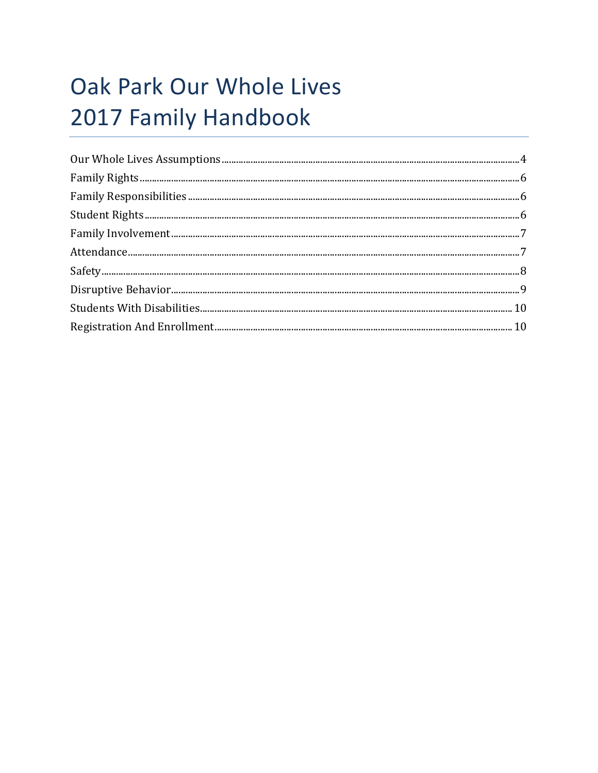# Oak Park Our Whole Lives 2017 Family Handbook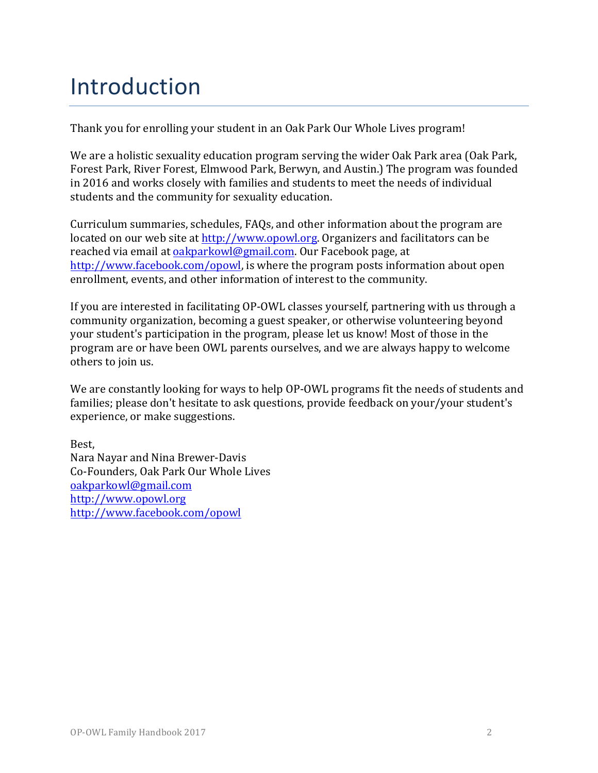## Introduction

Thank you for enrolling your student in an Oak Park Our Whole Lives program!

We are a holistic sexuality education program serving the wider Oak Park area (Oak Park, Forest Park, River Forest, Elmwood Park, Berwyn, and Austin.) The program was founded in 2016 and works closely with families and students to meet the needs of individual students and the community for sexuality education.

Curriculum summaries, schedules, FAQs, and other information about the program are located on our web site at http://www.opowl.org. Organizers and facilitators can be reached via email at oakparkowl@gmail.com. Our Facebook page, at http://www.facebook.com/opowl, is where the program posts information about open enrollment, events, and other information of interest to the community.

If you are interested in facilitating OP-OWL classes yourself, partnering with us through a community organization, becoming a guest speaker, or otherwise volunteering beyond your student's participation in the program, please let us know! Most of those in the program are or have been OWL parents ourselves, and we are always happy to welcome others to join us.

We are constantly looking for ways to help OP-OWL programs fit the needs of students and families; please don't hesitate to ask questions, provide feedback on your/your student's experience, or make suggestions.

Best, Nara Nayar and Nina Brewer-Davis Co-Founders, Oak Park Our Whole Lives oakparkowl@gmail.com http://www.opowl.org http://www.facebook.com/opowl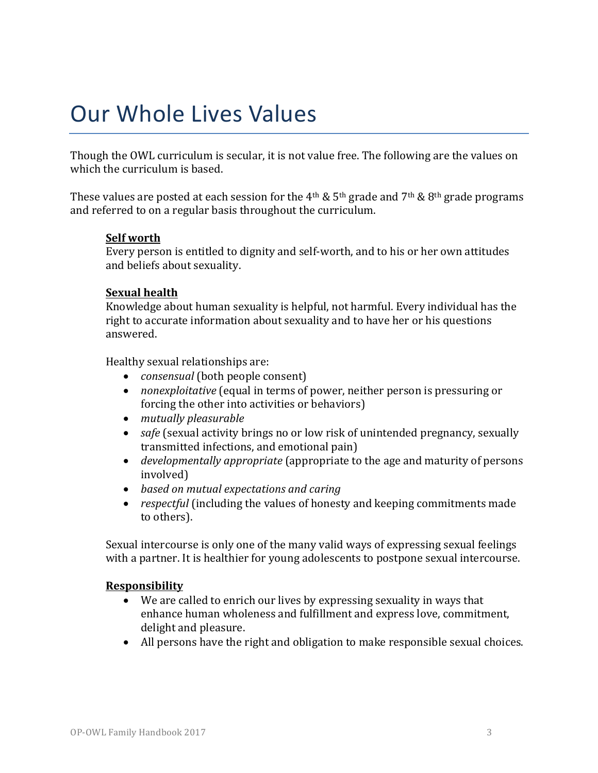## Our Whole Lives Values

Though the OWL curriculum is secular, it is not value free. The following are the values on which the curriculum is based.

These values are posted at each session for the 4<sup>th</sup> & 5<sup>th</sup> grade and 7<sup>th</sup> & 8<sup>th</sup> grade programs and referred to on a regular basis throughout the curriculum.

#### **Self** worth

Every person is entitled to dignity and self-worth, and to his or her own attitudes and beliefs about sexuality.

#### **Sexual health**

Knowledge about human sexuality is helpful, not harmful. Every individual has the right to accurate information about sexuality and to have her or his questions answered.

Healthy sexual relationships are:

- *consensual* (both people consent)
- *nonexploitative* (equal in terms of power, neither person is pressuring or forcing the other into activities or behaviors)
- *mutually pleasurable*
- *safe* (sexual activity brings no or low risk of unintended pregnancy, sexually transmitted infections, and emotional pain)
- *developmentally appropriate* (appropriate to the age and maturity of persons involved)
- *based on mutual expectations and caring*
- *respectful* (including the values of honesty and keeping commitments made to others).

Sexual intercourse is only one of the many valid ways of expressing sexual feelings with a partner. It is healthier for young adolescents to postpone sexual intercourse.

#### **Responsibility**

- We are called to enrich our lives by expressing sexuality in ways that enhance human wholeness and fulfillment and express love, commitment, delight and pleasure.
- All persons have the right and obligation to make responsible sexual choices.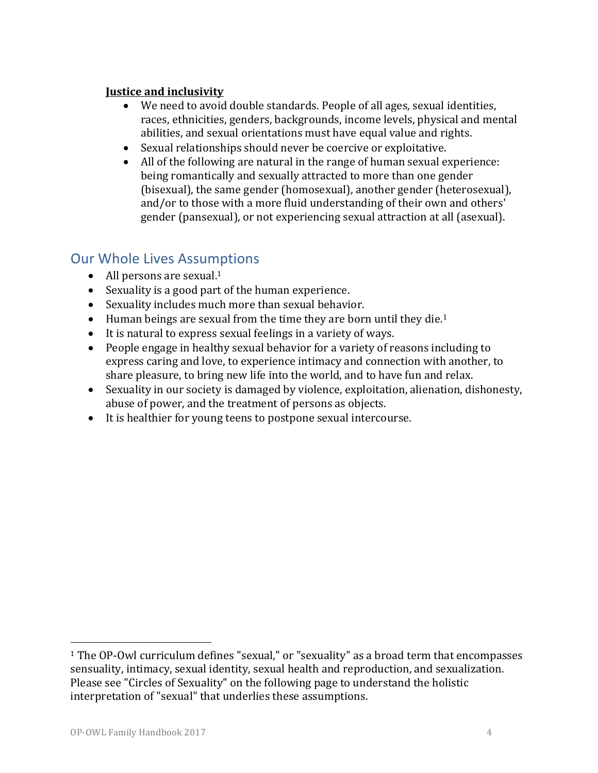#### **Justice and inclusivity**

- We need to avoid double standards. People of all ages, sexual identities, races, ethnicities, genders, backgrounds, income levels, physical and mental abilities, and sexual orientations must have equal value and rights.
- Sexual relationships should never be coercive or exploitative.
- All of the following are natural in the range of human sexual experience: being romantically and sexually attracted to more than one gender (bisexual), the same gender (homosexual), another gender (heterosexual), and/or to those with a more fluid understanding of their own and others' gender (pansexual), or not experiencing sexual attraction at all (asexual).

## **Our Whole Lives Assumptions**

- All persons are sexual.<sup>1</sup>
- Sexuality is a good part of the human experience.
- Sexuality includes much more than sexual behavior.
- Human beings are sexual from the time they are born until they die.<sup>1</sup>
- $\bullet$  It is natural to express sexual feelings in a variety of ways.
- People engage in healthy sexual behavior for a variety of reasons including to express caring and love, to experience intimacy and connection with another, to share pleasure, to bring new life into the world, and to have fun and relax.
- Sexuality in our society is damaged by violence, exploitation, alienation, dishonesty, abuse of power, and the treatment of persons as objects.
- It is healthier for young teens to postpone sexual intercourse.

 

<sup>&</sup>lt;sup>1</sup> The OP-Owl curriculum defines "sexual," or "sexuality" as a broad term that encompasses sensuality, intimacy, sexual identity, sexual health and reproduction, and sexualization. Please see "Circles of Sexuality" on the following page to understand the holistic interpretation of "sexual" that underlies these assumptions.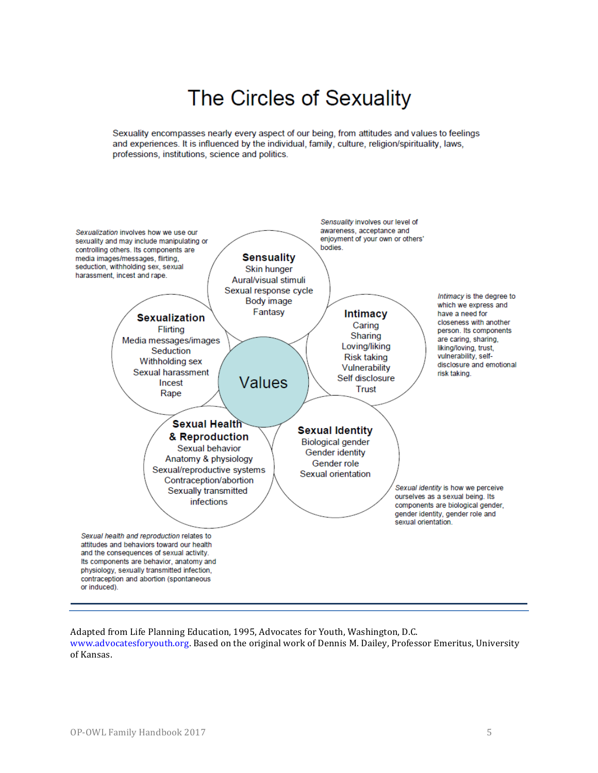## The Circles of Sexuality

Sexuality encompasses nearly every aspect of our being, from attitudes and values to feelings and experiences. It is influenced by the individual, family, culture, religion/spirituality, laws, professions, institutions, science and politics.



Adapted from Life Planning Education, 1995, Advocates for Youth, Washington, D.C. www.advocatesforyouth.org. Based on the original work of Dennis M. Dailey, Professor Emeritus, University of Kansas.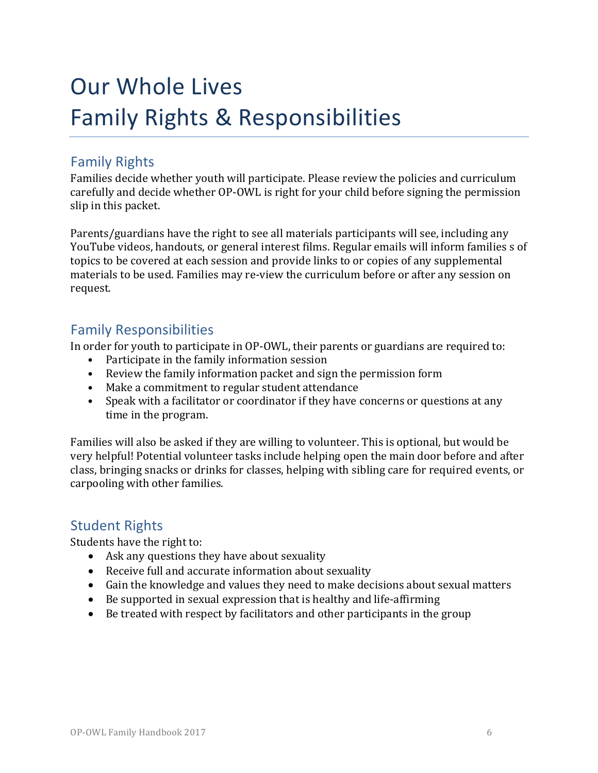## Our Whole Lives Family Rights & Responsibilities

### Family Rights

Families decide whether youth will participate. Please review the policies and curriculum carefully and decide whether OP-OWL is right for your child before signing the permission slip in this packet.

Parents/guardians have the right to see all materials participants will see, including any YouTube videos, handouts, or general interest films. Regular emails will inform families s of topics to be covered at each session and provide links to or copies of any supplemental materials to be used. Families may re-view the curriculum before or after any session on request.

## Family Responsibilities

In order for youth to participate in OP-OWL, their parents or guardians are required to:

- Participate in the family information session
- Review the family information packet and sign the permission form
- Make a commitment to regular student attendance
- Speak with a facilitator or coordinator if they have concerns or questions at any time in the program.

Families will also be asked if they are willing to volunteer. This is optional, but would be very helpful! Potential volunteer tasks include helping open the main door before and after class, bringing snacks or drinks for classes, helping with sibling care for required events, or carpooling with other families.

## **Student Rights**

Students have the right to:

- Ask any questions they have about sexuality
- Receive full and accurate information about sexuality
- Gain the knowledge and values they need to make decisions about sexual matters
- $\bullet$  Be supported in sexual expression that is healthy and life-affirming
- $\bullet$  Be treated with respect by facilitators and other participants in the group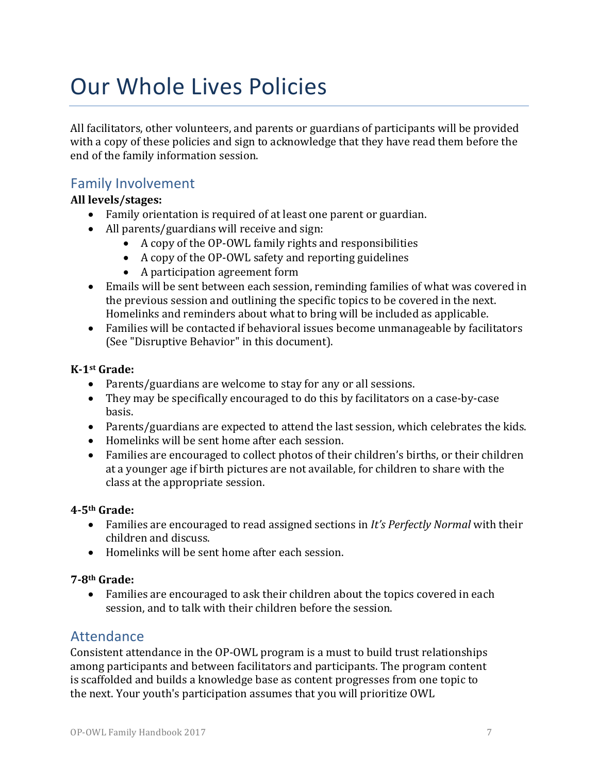## Our Whole Lives Policies

All facilitators, other volunteers, and parents or guardians of participants will be provided with a copy of these policies and sign to acknowledge that they have read them before the end of the family information session.

## Family Involvement

#### **All levels/stages:**

- Family orientation is required of at least one parent or guardian.
- All parents/guardians will receive and sign:
	- A copy of the OP-OWL family rights and responsibilities
	- A copy of the OP-OWL safety and reporting guidelines
	- A participation agreement form
- Emails will be sent between each session, reminding families of what was covered in the previous session and outlining the specific topics to be covered in the next. Homelinks and reminders about what to bring will be included as applicable.
- Families will be contacted if behavioral issues become unmanageable by facilitators (See "Disruptive Behavior" in this document).

#### **K-1st Grade:**

- Parents/guardians are welcome to stay for any or all sessions.
- They may be specifically encouraged to do this by facilitators on a case-by-case basis.
- Parents/guardians are expected to attend the last session, which celebrates the kids.
- Homelinks will be sent home after each session.
- Families are encouraged to collect photos of their children's births, or their children at a younger age if birth pictures are not available, for children to share with the class at the appropriate session.

#### **4-5th Grade:**

- Families are encouraged to read assigned sections in It's Perfectly Normal with their children and discuss.
- $\bullet$  Homelinks will be sent home after each session.

#### **7-8th Grade:**

• Families are encouraged to ask their children about the topics covered in each session, and to talk with their children before the session.

### **Attendance**

Consistent attendance in the OP-OWL program is a must to build trust relationships among participants and between facilitators and participants. The program content is scaffolded and builds a knowledge base as content progresses from one topic to the next. Your youth's participation assumes that you will prioritize OWL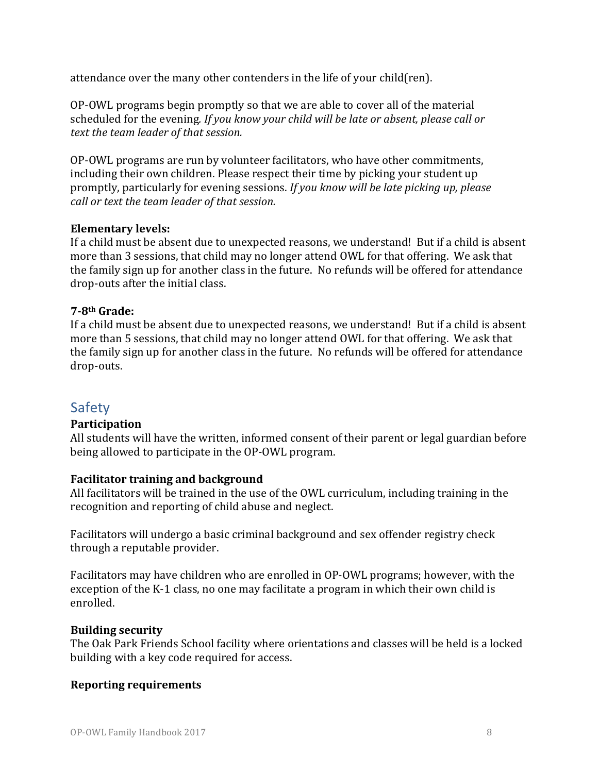attendance over the many other contenders in the life of your child(ren).

OP-OWL programs begin promptly so that we are able to cover all of the material scheduled for the evening. If you know your child will be late or absent, please call or *text the team leader of that session.* 

OP-OWL programs are run by volunteer facilitators, who have other commitments, including their own children. Please respect their time by picking your student up promptly, particularly for evening sessions. If you know will be late picking up, please *call* or text the team leader of that session.

#### **Elementary levels:**

If a child must be absent due to unexpected reasons, we understand! But if a child is absent more than 3 sessions, that child may no longer attend OWL for that offering. We ask that the family sign up for another class in the future. No refunds will be offered for attendance drop-outs after the initial class.

#### **7-8th Grade:**

If a child must be absent due to unexpected reasons, we understand! But if a child is absent more than 5 sessions, that child may no longer attend OWL for that offering. We ask that the family sign up for another class in the future. No refunds will be offered for attendance drop-outs.

### Safety

#### **Participation**

All students will have the written, informed consent of their parent or legal guardian before being allowed to participate in the OP-OWL program.

#### **Facilitator training and background**

All facilitators will be trained in the use of the OWL curriculum, including training in the recognition and reporting of child abuse and neglect.

Facilitators will undergo a basic criminal background and sex offender registry check through a reputable provider.

Facilitators may have children who are enrolled in OP-OWL programs; however, with the exception of the K-1 class, no one may facilitate a program in which their own child is enrolled.

#### **Building security**

The Oak Park Friends School facility where orientations and classes will be held is a locked building with a key code required for access.

#### **Reporting requirements**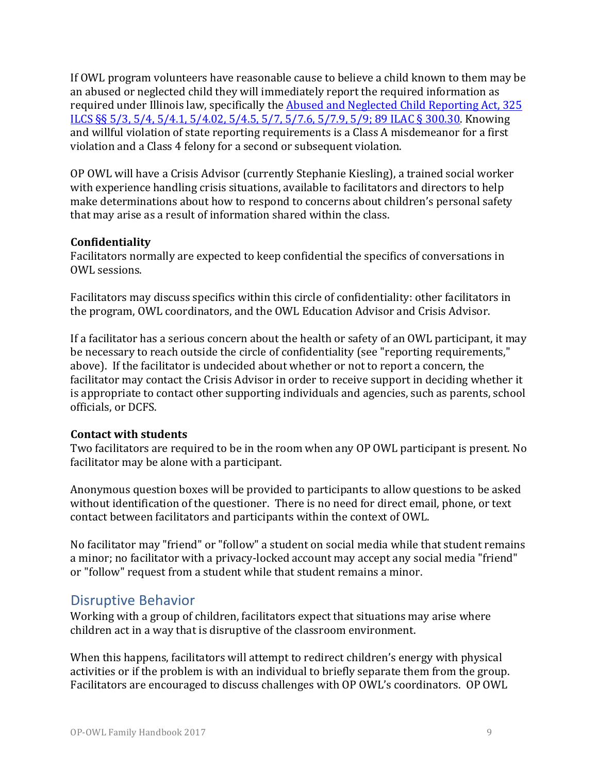If OWL program volunteers have reasonable cause to believe a child known to them may be an abused or neglected child they will immediately report the required information as required under Illinois law, specifically the Abused and Neglected Child Reporting Act, 325 ILCS §§ 5/3, 5/4, 5/4.1, 5/4.02, 5/4.5, 5/7, 5/7.6, 5/7.9, 5/9; 89 ILAC § 300.30. Knowing and willful violation of state reporting requirements is a Class A misdemeanor for a first violation and a Class 4 felony for a second or subsequent violation.

OP OWL will have a Crisis Advisor (currently Stephanie Kiesling), a trained social worker with experience handling crisis situations, available to facilitators and directors to help make determinations about how to respond to concerns about children's personal safety that may arise as a result of information shared within the class.

#### **Confidentiality**

Facilitators normally are expected to keep confidential the specifics of conversations in OWL sessions.

Facilitators may discuss specifics within this circle of confidentiality: other facilitators in the program, OWL coordinators, and the OWL Education Advisor and Crisis Advisor.

If a facilitator has a serious concern about the health or safety of an OWL participant, it may be necessary to reach outside the circle of confidentiality (see "reporting requirements," above). If the facilitator is undecided about whether or not to report a concern, the facilitator may contact the Crisis Advisor in order to receive support in deciding whether it is appropriate to contact other supporting individuals and agencies, such as parents, school officials, or DCFS.

#### **Contact with students**

Two facilitators are required to be in the room when any OP OWL participant is present. No facilitator may be alone with a participant.

Anonymous question boxes will be provided to participants to allow questions to be asked without identification of the questioner. There is no need for direct email, phone, or text contact between facilitators and participants within the context of OWL.

No facilitator may "friend" or "follow" a student on social media while that student remains a minor; no facilitator with a privacy-locked account may accept any social media "friend" or "follow" request from a student while that student remains a minor.

### Disruptive Behavior

Working with a group of children, facilitators expect that situations may arise where children act in a way that is disruptive of the classroom environment.

When this happens, facilitators will attempt to redirect children's energy with physical activities or if the problem is with an individual to briefly separate them from the group. Facilitators are encouraged to discuss challenges with OP OWL's coordinators. OP OWL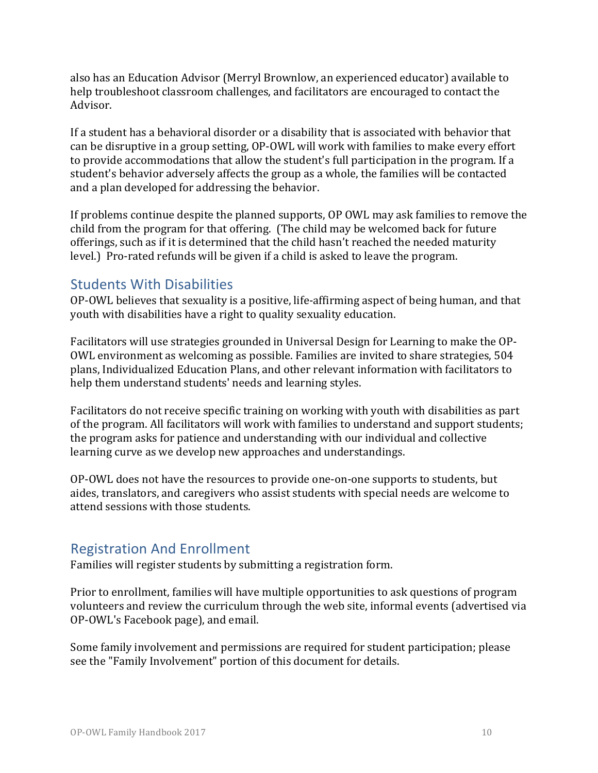also has an Education Advisor (Merryl Brownlow, an experienced educator) available to help troubleshoot classroom challenges, and facilitators are encouraged to contact the Advisor.

If a student has a behavioral disorder or a disability that is associated with behavior that can be disruptive in a group setting, OP-OWL will work with families to make every effort to provide accommodations that allow the student's full participation in the program. If a student's behavior adversely affects the group as a whole, the families will be contacted and a plan developed for addressing the behavior.

If problems continue despite the planned supports, OP OWL may ask families to remove the child from the program for that offering. (The child may be welcomed back for future offerings, such as if it is determined that the child hasn't reached the needed maturity level.) Pro-rated refunds will be given if a child is asked to leave the program.

### **Students With Disabilities**

OP-OWL believes that sexuality is a positive, life-affirming aspect of being human, and that youth with disabilities have a right to quality sexuality education.

Facilitators will use strategies grounded in Universal Design for Learning to make the OP-OWL environment as welcoming as possible. Families are invited to share strategies, 504 plans, Individualized Education Plans, and other relevant information with facilitators to help them understand students' needs and learning styles.

Facilitators do not receive specific training on working with youth with disabilities as part of the program. All facilitators will work with families to understand and support students; the program asks for patience and understanding with our individual and collective learning curve as we develop new approaches and understandings.

OP-OWL does not have the resources to provide one-on-one supports to students, but aides, translators, and caregivers who assist students with special needs are welcome to attend sessions with those students.

### Registration And Enrollment

Families will register students by submitting a registration form.

Prior to enrollment, families will have multiple opportunities to ask questions of program volunteers and review the curriculum through the web site, informal events (advertised via OP-OWL's Facebook page), and email.

Some family involvement and permissions are required for student participation; please see the "Family Involvement" portion of this document for details.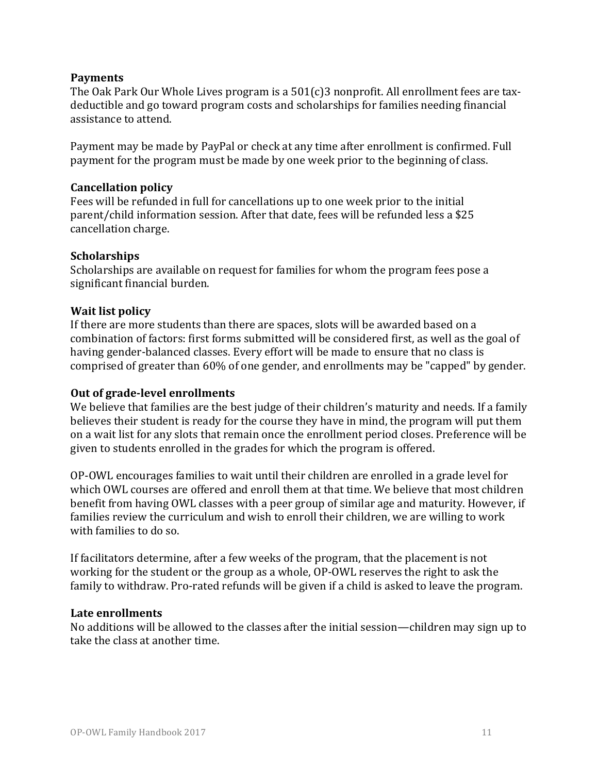#### **Payments**

The Oak Park Our Whole Lives program is a  $501(c)3$  nonprofit. All enrollment fees are taxdeductible and go toward program costs and scholarships for families needing financial assistance to attend.

Payment may be made by PayPal or check at any time after enrollment is confirmed. Full payment for the program must be made by one week prior to the beginning of class.

#### **Cancellation policy**

Fees will be refunded in full for cancellations up to one week prior to the initial parent/child information session. After that date, fees will be refunded less a \$25 cancellation charge.

#### **Scholarships**

Scholarships are available on request for families for whom the program fees pose a significant financial burden.

#### **Wait list policy**

If there are more students than there are spaces, slots will be awarded based on a combination of factors: first forms submitted will be considered first, as well as the goal of having gender-balanced classes. Every effort will be made to ensure that no class is comprised of greater than 60% of one gender, and enrollments may be "capped" by gender.

#### **Out of grade-level enrollments**

We believe that families are the best judge of their children's maturity and needs. If a family believes their student is ready for the course they have in mind, the program will put them on a wait list for any slots that remain once the enrollment period closes. Preference will be given to students enrolled in the grades for which the program is offered.

OP-OWL encourages families to wait until their children are enrolled in a grade level for which OWL courses are offered and enroll them at that time. We believe that most children benefit from having OWL classes with a peer group of similar age and maturity. However, if families review the curriculum and wish to enroll their children, we are willing to work with families to do so.

If facilitators determine, after a few weeks of the program, that the placement is not working for the student or the group as a whole, OP-OWL reserves the right to ask the family to withdraw. Pro-rated refunds will be given if a child is asked to leave the program.

#### Late enrollments

No additions will be allowed to the classes after the initial session—children may sign up to take the class at another time.